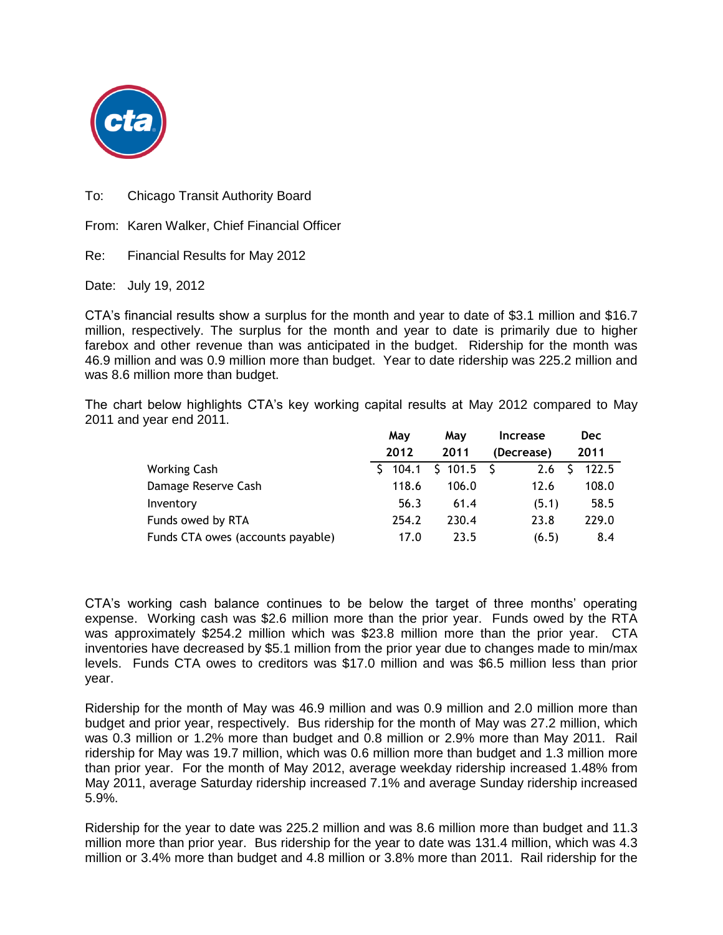

To: Chicago Transit Authority Board

From: Karen Walker, Chief Financial Officer

Re: Financial Results for May 2012

Date: July 19, 2012

CTA's financial results show a surplus for the month and year to date of \$3.1 million and \$16.7 million, respectively. The surplus for the month and year to date is primarily due to higher farebox and other revenue than was anticipated in the budget. Ridership for the month was 46.9 million and was 0.9 million more than budget. Year to date ridership was 225.2 million and was 8.6 million more than budget.

The chart below highlights CTA's key working capital results at May 2012 compared to May 2011 and year end 2011.

|                                   | May         | May         | <b>Increase</b> | <b>Dec</b> |
|-----------------------------------|-------------|-------------|-----------------|------------|
|                                   | 2012        | 2011        | (Decrease)      | 2011       |
| <b>Working Cash</b>               | 104.1<br>S. | $$101.5$ \$ | 2.6             | 122.5      |
| Damage Reserve Cash               | 118.6       | 106.0       | 12.6            | 108.0      |
| Inventory                         | 56.3        | 61.4        | (5.1)           | 58.5       |
| Funds owed by RTA                 | 254.2       | 230.4       | 23.8            | 229.0      |
| Funds CTA owes (accounts payable) | 17.0        | 23.5        | (6.5)           | 8.4        |

CTA's working cash balance continues to be below the target of three months' operating expense. Working cash was \$2.6 million more than the prior year. Funds owed by the RTA was approximately \$254.2 million which was \$23.8 million more than the prior year. CTA inventories have decreased by \$5.1 million from the prior year due to changes made to min/max levels. Funds CTA owes to creditors was \$17.0 million and was \$6.5 million less than prior year.

Ridership for the month of May was 46.9 million and was 0.9 million and 2.0 million more than budget and prior year, respectively. Bus ridership for the month of May was 27.2 million, which was 0.3 million or 1.2% more than budget and 0.8 million or 2.9% more than May 2011. Rail ridership for May was 19.7 million, which was 0.6 million more than budget and 1.3 million more than prior year. For the month of May 2012, average weekday ridership increased 1.48% from May 2011, average Saturday ridership increased 7.1% and average Sunday ridership increased 5.9%.

Ridership for the year to date was 225.2 million and was 8.6 million more than budget and 11.3 million more than prior year. Bus ridership for the year to date was 131.4 million, which was 4.3 million or 3.4% more than budget and 4.8 million or 3.8% more than 2011. Rail ridership for the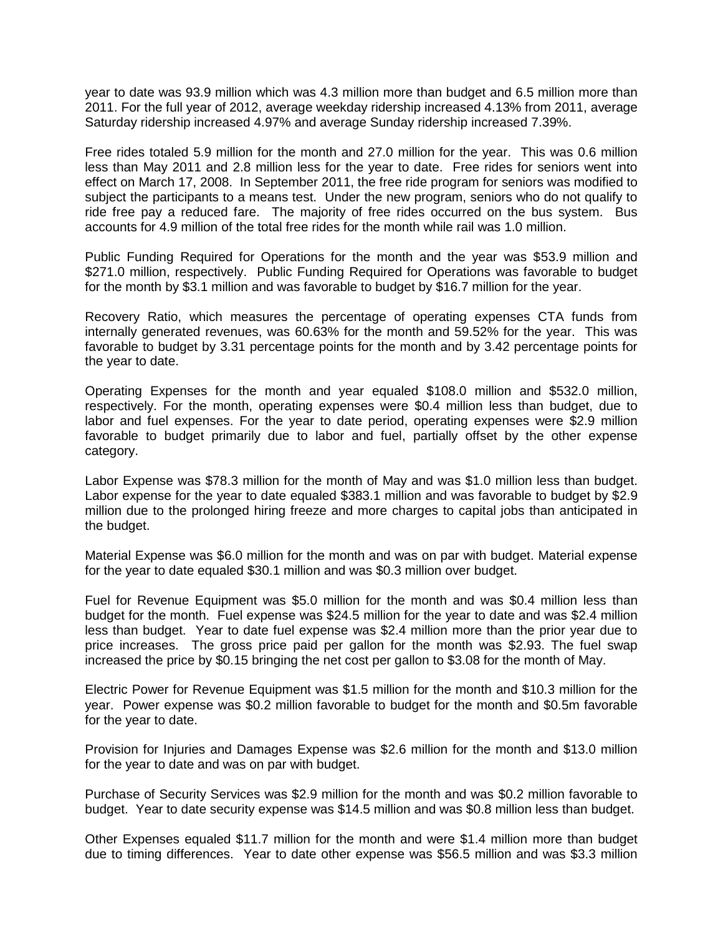year to date was 93.9 million which was 4.3 million more than budget and 6.5 million more than 2011. For the full year of 2012, average weekday ridership increased 4.13% from 2011, average Saturday ridership increased 4.97% and average Sunday ridership increased 7.39%.

Free rides totaled 5.9 million for the month and 27.0 million for the year. This was 0.6 million less than May 2011 and 2.8 million less for the year to date. Free rides for seniors went into effect on March 17, 2008. In September 2011, the free ride program for seniors was modified to subject the participants to a means test. Under the new program, seniors who do not qualify to ride free pay a reduced fare. The majority of free rides occurred on the bus system. Bus accounts for 4.9 million of the total free rides for the month while rail was 1.0 million.

Public Funding Required for Operations for the month and the year was \$53.9 million and \$271.0 million, respectively. Public Funding Required for Operations was favorable to budget for the month by \$3.1 million and was favorable to budget by \$16.7 million for the year.

Recovery Ratio, which measures the percentage of operating expenses CTA funds from internally generated revenues, was 60.63% for the month and 59.52% for the year. This was favorable to budget by 3.31 percentage points for the month and by 3.42 percentage points for the year to date.

Operating Expenses for the month and year equaled \$108.0 million and \$532.0 million, respectively. For the month, operating expenses were \$0.4 million less than budget, due to labor and fuel expenses. For the year to date period, operating expenses were \$2.9 million favorable to budget primarily due to labor and fuel, partially offset by the other expense category.

Labor Expense was \$78.3 million for the month of May and was \$1.0 million less than budget. Labor expense for the year to date equaled \$383.1 million and was favorable to budget by \$2.9 million due to the prolonged hiring freeze and more charges to capital jobs than anticipated in the budget.

Material Expense was \$6.0 million for the month and was on par with budget. Material expense for the year to date equaled \$30.1 million and was \$0.3 million over budget.

Fuel for Revenue Equipment was \$5.0 million for the month and was \$0.4 million less than budget for the month. Fuel expense was \$24.5 million for the year to date and was \$2.4 million less than budget. Year to date fuel expense was \$2.4 million more than the prior year due to price increases. The gross price paid per gallon for the month was \$2.93. The fuel swap increased the price by \$0.15 bringing the net cost per gallon to \$3.08 for the month of May.

Electric Power for Revenue Equipment was \$1.5 million for the month and \$10.3 million for the year. Power expense was \$0.2 million favorable to budget for the month and \$0.5m favorable for the year to date.

Provision for Injuries and Damages Expense was \$2.6 million for the month and \$13.0 million for the year to date and was on par with budget.

Purchase of Security Services was \$2.9 million for the month and was \$0.2 million favorable to budget. Year to date security expense was \$14.5 million and was \$0.8 million less than budget.

Other Expenses equaled \$11.7 million for the month and were \$1.4 million more than budget due to timing differences. Year to date other expense was \$56.5 million and was \$3.3 million